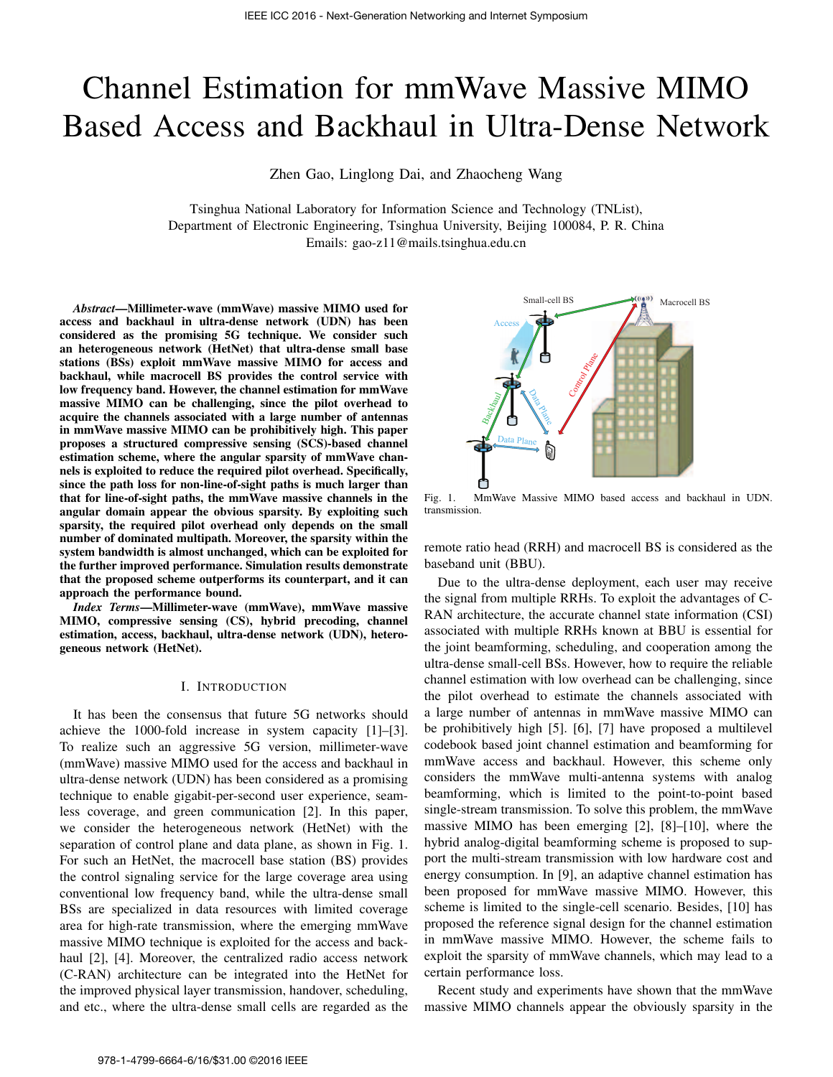# Channel Estimation for mmWave Massive MIMO Based Access and Backhaul in Ultra-Dense Network

Zhen Gao, Linglong Dai, and Zhaocheng Wang

Tsinghua National Laboratory for Information Science and Technology (TNList), Department of Electronic Engineering, Tsinghua University, Beijing 100084, P. R. China Emails: gao-z11@mails.tsinghua.edu.cn

*Abstract*—Millimeter-wave (mmWave) massive MIMO used for access and backhaul in ultra-dense network (UDN) has been considered as the promising 5G technique. We consider such an heterogeneous network (HetNet) that ultra-dense small base stations (BSs) exploit mmWave massive MIMO for access and backhaul, while macrocell BS provides the control service with low frequency band. However, the channel estimation for mmWave massive MIMO can be challenging, since the pilot overhead to acquire the channels associated with a large number of antennas in mmWave massive MIMO can be prohibitively high. This paper proposes a structured compressive sensing (SCS)-based channel estimation scheme, where the angular sparsity of mmWave channels is exploited to reduce the required pilot overhead. Specifically, since the path loss for non-line-of-sight paths is much larger than that for line-of-sight paths, the mmWave massive channels in the angular domain appear the obvious sparsity. By exploiting such sparsity, the required pilot overhead only depends on the small number of dominated multipath. Moreover, the sparsity within the system bandwidth is almost unchanged, which can be exploited for the further improved performance. Simulation results demonstrate that the proposed scheme outperforms its counterpart, and it can approach the performance bound.

*Index Terms*—Millimeter-wave (mmWave), mmWave massive MIMO, compressive sensing (CS), hybrid precoding, channel estimation, access, backhaul, ultra-dense network (UDN), heterogeneous network (HetNet).

# I. INTRODUCTION

It has been the consensus that future 5G networks should achieve the 1000-fold increase in system capacity [1]–[3]. To realize such an aggressive 5G version, millimeter-wave (mmWave) massive MIMO used for the access and backhaul in ultra-dense network (UDN) has been considered as a promising technique to enable gigabit-per-second user experience, seamless coverage, and green communication [2]. In this paper, we consider the heterogeneous network (HetNet) with the separation of control plane and data plane, as shown in Fig. 1. For such an HetNet, the macrocell base station (BS) provides the control signaling service for the large coverage area using conventional low frequency band, while the ultra-dense small BSs are specialized in data resources with limited coverage area for high-rate transmission, where the emerging mmWave massive MIMO technique is exploited for the access and backhaul [2], [4]. Moreover, the centralized radio access network (C-RAN) architecture can be integrated into the HetNet for the improved physical layer transmission, handover, scheduling, and etc., where the ultra-dense small cells are regarded as the



Fig. 1. MmWave Massive MIMO based access and backhaul in UDN. transmission.

remote ratio head (RRH) and macrocell BS is considered as the baseband unit (BBU).

Due to the ultra-dense deployment, each user may receive the signal from multiple RRHs. To exploit the advantages of C-RAN architecture, the accurate channel state information (CSI) associated with multiple RRHs known at BBU is essential for the joint beamforming, scheduling, and cooperation among the ultra-dense small-cell BSs. However, how to require the reliable channel estimation with low overhead can be challenging, since the pilot overhead to estimate the channels associated with a large number of antennas in mmWave massive MIMO can be prohibitively high [5]. [6], [7] have proposed a multilevel codebook based joint channel estimation and beamforming for mmWave access and backhaul. However, this scheme only considers the mmWave multi-antenna systems with analog beamforming, which is limited to the point-to-point based single-stream transmission. To solve this problem, the mmWave massive MIMO has been emerging [2], [8]–[10], where the hybrid analog-digital beamforming scheme is proposed to support the multi-stream transmission with low hardware cost and energy consumption. In [9], an adaptive channel estimation has been proposed for mmWave massive MIMO. However, this scheme is limited to the single-cell scenario. Besides, [10] has proposed the reference signal design for the channel estimation in mmWave massive MIMO. However, the scheme fails to exploit the sparsity of mmWave channels, which may lead to a certain performance loss.

Recent study and experiments have shown that the mmWave massive MIMO channels appear the obviously sparsity in the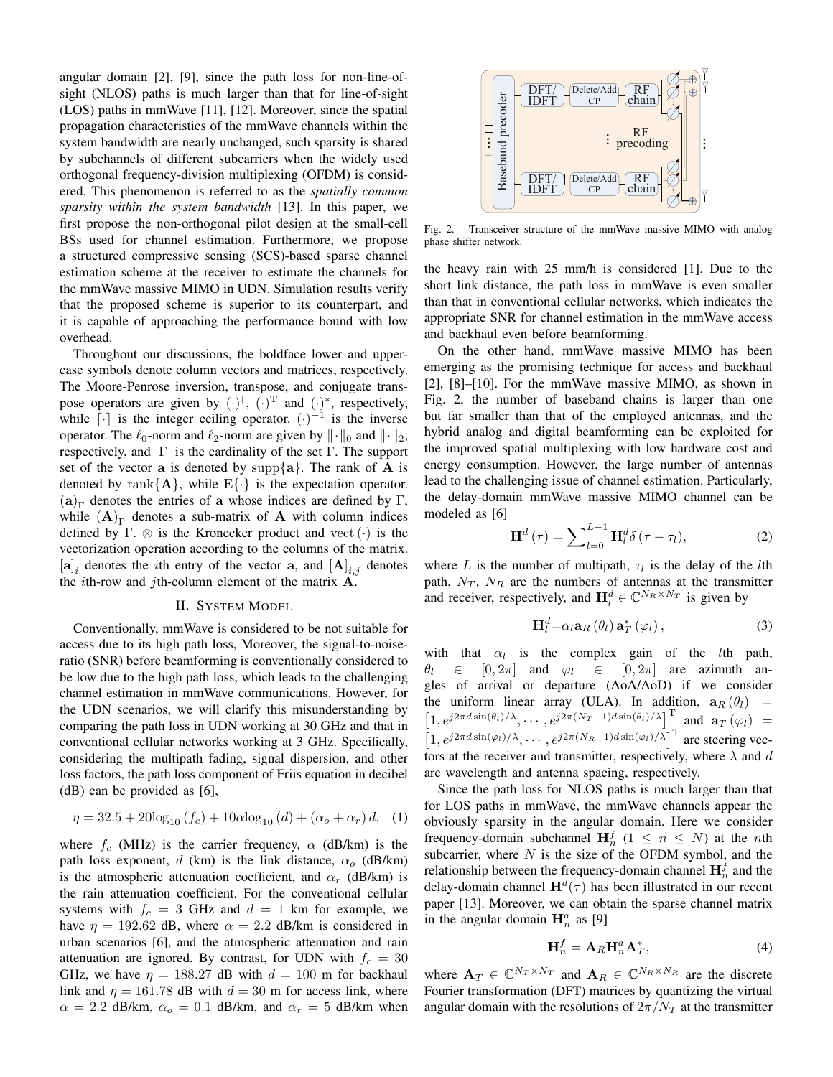angular domain [2], [9], since the path loss for non-line-ofsight (NLOS) paths is much larger than that for line-of-sight (LOS) paths in mmWave [11], [12]. Moreover, since the spatial propagation characteristics of the mmWave channels within the system bandwidth are nearly unchanged, such sparsity is shared by subchannels of different subcarriers when the widely used orthogonal frequency-division multiplexing (OFDM) is considered. This phenomenon is referred to as the *spatially common sparsity within the system bandwidth* [13]. In this paper, we first propose the non-orthogonal pilot design at the small-cell BSs used for channel estimation. Furthermore, we propose a structured compressive sensing (SCS)-based sparse channel estimation scheme at the receiver to estimate the channels for the mmWave massive MIMO in UDN. Simulation results verify that the proposed scheme is superior to its counterpart, and it is capable of approaching the performance bound with low overhead.

Throughout our discussions, the boldface lower and uppercase symbols denote column vectors and matrices, respectively. The Moore-Penrose inversion, transpose, and conjugate transpose operators are given by  $(\cdot)^{\dagger}$ ,  $(\cdot)^{\mathrm{T}}$  and  $(\cdot)^{*}$ , respectively, while  $\lceil \cdot \rceil$  is the integer ceiling operator.  $(\cdot)^{-1}$  is the inverse operator. The  $\ell_0$ -norm and  $\ell_2$ -norm are given by  $\|\cdot\|_0$  and  $\|\cdot\|_2$ , respectively, and  $|\Gamma|$  is the cardinality of the set  $\Gamma$ . The support set of the vector **a** is denoted by supp $\{a\}$ . The rank of **A** is denoted by rank $\{A\}$ , while  $E\{\cdot\}$  is the expectation operator.  $(**a**)<sub>Γ</sub>$  denotes the entries of **a** whose indices are defined by Γ, while  $(A)$ <sub>Γ</sub> denotes a sub-matrix of **A** with column indices defined by  $\Gamma$ .  $\otimes$  is the Kronecker product and vect (·) is the vectorization operation according to the columns of the matrix.  $[\mathbf{a}]_i$  denotes the *i*th entry of the vector **a**, and  $[\mathbf{A}]_{i,j}$  denotes the *i*th-row and *j*th-column element of the matrix  $\overrightarrow{A}$ .

## II. SYSTEM MODEL

Conventionally, mmWave is considered to be not suitable for access due to its high path loss, Moreover, the signal-to-noiseratio (SNR) before beamforming is conventionally considered to be low due to the high path loss, which leads to the challenging channel estimation in mmWave communications. However, for the UDN scenarios, we will clarify this misunderstanding by comparing the path loss in UDN working at 30 GHz and that in conventional cellular networks working at 3 GHz. Specifically, considering the multipath fading, signal dispersion, and other loss factors, the path loss component of Friis equation in decibel (dB) can be provided as [6],

$$
\eta = 32.5 + 20\log_{10}(f_c) + 10\alpha \log_{10}(d) + (\alpha_o + \alpha_r) d, \tag{1}
$$

where  $f_c$  (MHz) is the carrier frequency,  $\alpha$  (dB/km) is the path loss exponent, d (km) is the link distance,  $\alpha_0$  (dB/km) is the atmospheric attenuation coefficient, and  $\alpha_r$  (dB/km) is the rain attenuation coefficient. For the conventional cellular systems with  $f_c = 3$  GHz and  $d = 1$  km for example, we have  $\eta = 192.62$  dB, where  $\alpha = 2.2$  dB/km is considered in urban scenarios [6], and the atmospheric attenuation and rain attenuation are ignored. By contrast, for UDN with  $f_c = 30$ GHz, we have  $\eta = 188.27$  dB with  $d = 100$  m for backhaul link and  $\eta = 161.78$  dB with  $d = 30$  m for access link, where  $\alpha = 2.2$  dB/km,  $\alpha_o = 0.1$  dB/km, and  $\alpha_r = 5$  dB/km when



Fig. 2. Transceiver structure of the mmWave massive MIMO with analog phase shifter network.

the heavy rain with 25 mm/h is considered [1]. Due to the short link distance, the path loss in mmWave is even smaller than that in conventional cellular networks, which indicates the appropriate SNR for channel estimation in the mmWave access and backhaul even before beamforming.

On the other hand, mmWave massive MIMO has been emerging as the promising technique for access and backhaul [2], [8]–[10]. For the mmWave massive MIMO, as shown in Fig. 2, the number of baseband chains is larger than one but far smaller than that of the employed antennas, and the hybrid analog and digital beamforming can be exploited for the improved spatial multiplexing with low hardware cost and energy consumption. However, the large number of antennas lead to the challenging issue of channel estimation. Particularly, the delay-domain mmWave massive MIMO channel can be modeled as [6]

$$
\mathbf{H}^{d}\left(\tau\right) = \sum_{l=0}^{L-1} \mathbf{H}_{l}^{d}\delta\left(\tau - \tau_{l}\right),\tag{2}
$$

where L is the number of multipath,  $\tau_l$  is the delay of the lth path,  $N_T$ ,  $N_R$  are the numbers of antennas at the transmitter and receiver, respectively, and  $\mathbf{H}_l^d \in \mathbb{C}^{N_R \times N_T}$  is given by

$$
\mathbf{H}_{l}^{d}=\alpha_{l}\mathbf{a}_{R}\left(\theta_{l}\right)\mathbf{a}_{T}^{*}\left(\varphi_{l}\right),\tag{3}
$$

with that  $\alpha_l$  is the complex gain of the *lth* path,  $\theta_l \in [0, 2\pi]$  and  $\varphi_l \in [0, 2\pi]$  are azimuth angles of arrival or departure (AoA/AoD) if we consider the uniform linear array (ULA). In addition,  $a_R(\theta_l)$  =  $\left[1, e^{j2\pi d \sin(\theta_l)/\lambda}, \cdots, e^{j2\pi (N_T-1)d \sin(\theta_l)/\lambda}\right]^{\text{T}}$  and  $\mathbf{a}_T(\varphi_l)$  =  $\left[1, e^{j2\pi d \sin(\varphi_l)/\lambda}, \cdots, e^{j2\pi (N_R-1)d \sin(\varphi_l)/\lambda}\right]^{\mathrm{T}}$  are steering vectors at the receiver and transmitter, respectively, where  $\lambda$  and d are wavelength and antenna spacing, respectively.

Since the path loss for NLOS paths is much larger than that for LOS paths in mmWave, the mmWave channels appear the obviously sparsity in the angular domain. Here we consider frequency-domain subchannel  $H_n^f$  ( $1 \leq n \leq N$ ) at the *n*th subcarrier, where  $N$  is the size of the OFDM symbol, and the relationship between the frequency-domain channel  $\mathbf{H}_n^f$  and the delay-domain channel  $H^d(\tau)$  has been illustrated in our recent paper [13]. Moreover, we can obtain the sparse channel matrix in the angular domain  $\mathbf{H}_n^a$  as [9]

$$
\mathbf{H}_n^f = \mathbf{A}_R \mathbf{H}_n^a \mathbf{A}_T^*,\tag{4}
$$

where  $A_T \in \mathbb{C}^{N_T \times N_T}$  and  $A_R \in \mathbb{C}^{N_R \times N_R}$  are the discrete Fourier transformation (DFT) matrices by quantizing the virtual angular domain with the resolutions of  $2\pi/N_T$  at the transmitter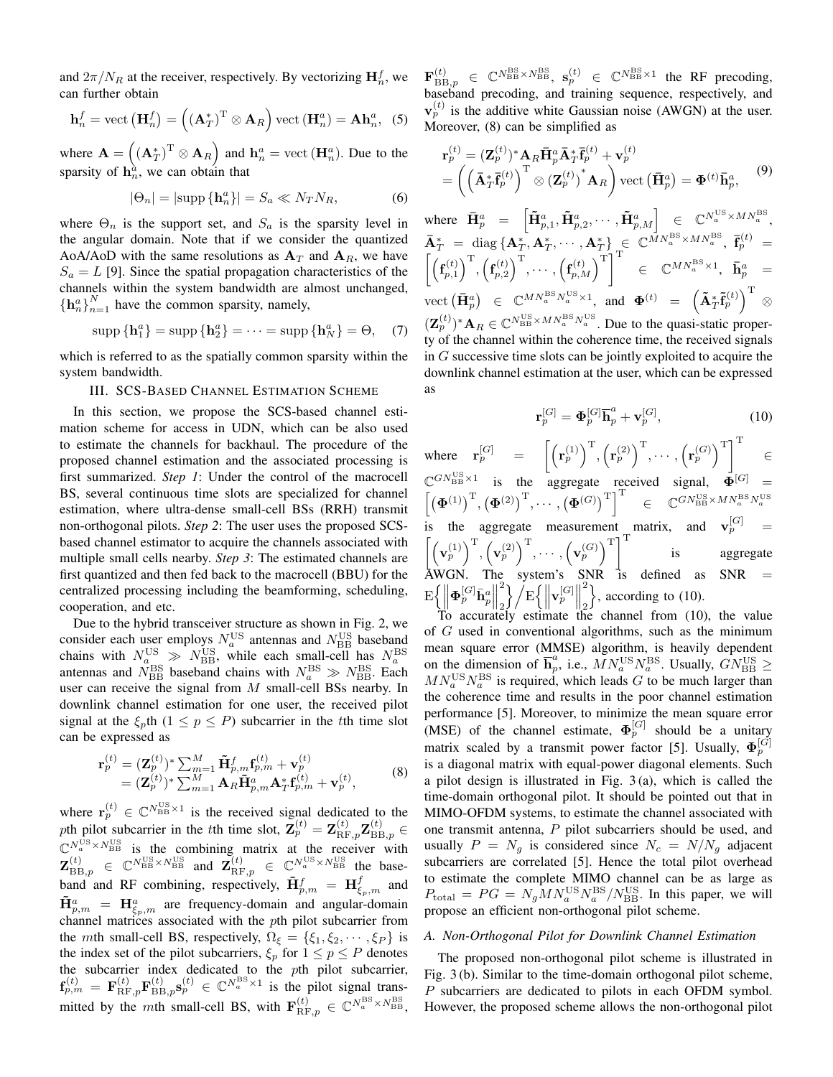and  $2\pi/N_R$  at the receiver, respectively. By vectorizing  $\mathbf{H}_n^f$ , we can further obtain

$$
\mathbf{h}_n^f = \text{vect}\left(\mathbf{H}_n^f\right) = \left((\mathbf{A}_T^*)^{\text{T}} \otimes \mathbf{A}_R\right) \text{vect}\left(\mathbf{H}_n^a\right) = \mathbf{A}\mathbf{h}_n^a, \tag{5}
$$

where  $\mathbf{A} = \left( (\mathbf{A}_T^*)^{\mathrm{T}} \otimes \mathbf{A}_R \right)$  and  $\mathbf{h}_n^a = \mathrm{vect} \left( \mathbf{H}_n^a \right)$ . Due to the sparsity of  $h_n^{\hat{a}}$ , we can obtain that

$$
|\Theta_n| = |\text{supp }\{\mathbf{h}_n^a\}| = S_a \ll N_T N_R,\tag{6}
$$

where  $\Theta_n$  is the support set, and  $S_a$  is the sparsity level in the angular domain. Note that if we consider the quantized AoA/AoD with the same resolutions as  $A_T$  and  $A_R$ , we have  $S_a = L$  [9]. Since the spatial propagation characteristics of the channels within the system bandwidth are almost unchanged,  $\left\{\mathbf{h}_n^a\right\}_{n=1}^N$  have the common sparsity, namely,

$$
\operatorname{supp}\left\{\mathbf{h}_{1}^{a}\right\} = \operatorname{supp}\left\{\mathbf{h}_{2}^{a}\right\} = \dots = \operatorname{supp}\left\{\mathbf{h}_{N}^{a}\right\} = \Theta, \quad (7)
$$

which is referred to as the spatially common sparsity within the system bandwidth.

## III. SCS-BASED CHANNEL ESTIMATION SCHEME

In this section, we propose the SCS-based channel estimation scheme for access in UDN, which can be also used to estimate the channels for backhaul. The procedure of the proposed channel estimation and the associated processing is first summarized. *Step 1*: Under the control of the macrocell BS, several continuous time slots are specialized for channel estimation, where ultra-dense small-cell BSs (RRH) transmit non-orthogonal pilots. *Step 2*: The user uses the proposed SCSbased channel estimator to acquire the channels associated with multiple small cells nearby. *Step 3*: The estimated channels are first quantized and then fed back to the macrocell (BBU) for the centralized processing including the beamforming, scheduling, cooperation, and etc.

Due to the hybrid transceiver structure as shown in Fig. 2, we consider each user employs  $N_a^{\text{US}}$  antennas and  $N_{\text{BB}}^{\text{US}}$  baseband chains with  $N_a^{\text{US}} \gg N_{\text{BB}}^{\text{US}}$ , while each small-cell has  $N_a^{\text{BS}}$  antennas and  $N_{\text{BB}}^{\text{BS}}$  baseband chains with  $N_a^{\text{BS}} \gg N_{\text{BB}}^{\text{BS}}$ . Each user can receive the signal from  $M$  small-cell BSs nearby. In downlink channel estimation for one user, the received pilot signal at the  $\xi_p$ th  $(1 \leq p \leq P)$  subcarrier in the tth time slot can be expressed as

$$
\mathbf{r}_{p}^{(t)} = (\mathbf{Z}_{p}^{(t)})^{*} \sum_{m=1}^{M} \tilde{\mathbf{H}}_{p,m}^{f} \mathbf{f}_{p,m}^{(t)} + \mathbf{v}_{p}^{(t)} \n= (\mathbf{Z}_{p}^{(t)})^{*} \sum_{m=1}^{M} \mathbf{A}_{R} \tilde{\mathbf{H}}_{p,m}^{a} \mathbf{A}_{T}^{*} \mathbf{f}_{p,m}^{(t)} + \mathbf{v}_{p}^{(t)},
$$
\n(8)

where  $\mathbf{r}_p^{(t)} \in \mathbb{C}^{N_{BB}^{US} \times 1}$  is the received signal dedicated to the pth pilot subcarrier in the tth time slot,  $\mathbf{Z}_{p}^{(t)} = \mathbf{Z}_{\text{RF},p}^{(t)}\mathbf{Z}_{\text{BB},p}^{(t)} \in$  $\mathbb{C}^{N_a^{\text{US}} \times N_{\text{BB}}^{\text{US}}}$  is the combining matrix at the receiver with  $\mathbf{Z}_{\text{BB},p}^{(t)} \in \mathbb{C}^{N_{\text{BB}}^{\text{US}} \times N_{\text{BB}}^{\text{US}}}$  and  $\mathbf{Z}_{\text{RF},p}^{(t)} \in \mathbb{C}^{N_a^{\text{US}} \times N_{\text{BB}}^{\text{US}}}$  the baseband and RF combining, respectively,  $\tilde{\mathbf{H}}_{p,m}^f = \mathbf{H}_{\xi_p,m}^f$  and  $\tilde{\mathbf{H}}_{p,m}^a = \mathbf{H}_{\xi_p,m}^a$  are frequency-domain and angular-domain channel matrices associated with the pth pilot subcarrier from the *mth* small-cell BS, respectively,  $\Omega_{\xi} = {\xi_1, \xi_2, \cdots, \xi_P}$  is the index set of the pilot subcarriers,  $\xi_p$  for  $1 \le p \le P$  denotes the subcarrier index dedicated to the pth pilot subcarrier,  $\mathbf{f}_{p,m}^{(t)} = \mathbf{F}_{\text{RF},p}^{(t)} \mathbf{F}_{\text{BB},p}^{(t)} \mathbf{s}_p^{(t)} \in \mathbb{C}^{N_a^{\text{BS}} \times 1}$  is the pilot signal transmitted by the *mth* small-cell BS, with  $\mathbf{F}_{\text{RF},p}^{(t)} \in \mathbb{C}^{N_a^{\text{BS}} \times N_{\text{BB}}^{\text{BS}}}$ ,  $\mathbf{F}_{\text{BB},p}^{(t)} \in \mathbb{C}^{N_{\text{BB}}^{\text{BS}} \times N_{\text{BB}}^{\text{BS}}}, \ \mathbf{s}_p^{(t)} \ \in \ \mathbb{C}^{N_{\text{BB}}^{\text{BS}} \times 1}$  the RF precoding, baseband precoding, and training sequence, respectively, and  $\mathbf{v}_p^{(t)}$  is the additive white Gaussian noise (AWGN) at the user. Moreover, (8) can be simplified as

$$
\mathbf{r}_{p}^{(t)} = (\mathbf{Z}_{p}^{(t)})^* \mathbf{A}_{R} \overline{\mathbf{H}}_{p}^{a} \overline{\mathbf{A}}_{T}^{*} \overline{\mathbf{f}}_{p}^{(t)} + \mathbf{v}_{p}^{(t)} = \left( \left( \overline{\mathbf{A}}_{T}^{*} \overline{\mathbf{f}}_{p}^{(t)} \right)^{\mathrm{T}} \otimes (\mathbf{Z}_{p}^{(t)})^* \mathbf{A}_{R} \right) \operatorname{vect} \left( \overline{\mathbf{H}}_{p}^{a} \right) = \mathbf{\Phi}^{(t)} \overline{\mathbf{h}}_{p}^{a}, \qquad (9)
$$

where  $\bar{\mathbf{H}}_p^a = \begin{bmatrix} \tilde{\mathbf{H}}_{p,1}^a, \tilde{\mathbf{H}}_{p,2}^a, \cdots, \tilde{\mathbf{H}}_{p,M}^a \end{bmatrix} \in \mathbb{C}^{N_a^{\text{US}} \times MN_a^{\text{BS}}},$  $\bar{\mathbf{A}}_T^* \;=\; \text{diag}\left\{\mathbf{A}_T^*, \mathbf{A}_T^*, \cdots, \mathbf{A}_T^*\right\} \;\in\; \mathbb{C}^{MN_a^{\rm BS}\times MN_a^{\rm BS}},\;\bar{\mathbf{f}}_p^{(t)}\;=\;$  $\left[\left(\mathbf{f}_{p,1}^{(t)}\right)^{\text{T}},\left(\mathbf{f}_{p,2}^{(t)}\right)^{\text{T}},\cdots,\left(\mathbf{f}_{p,M}^{(t)}\right)^{\text{T}}\right]^{\text{T}}$   $\in$   $\mathbb{C}^{MN_{a}^{\text{BS}}\times1}, \ \ \bar{\mathbf{h}}_{p}^{a}$  = vect  $\left(\bar{\mathbf{H}}_p^a\right)$   $\in \mathbb{C}^{MN_a^{\text{BS}}N_a^{\text{US}}\times 1}$ , and  $\mathbf{\Phi}^{(t)} = \left(\tilde{\mathbf{A}}_T^*\tilde{\mathbf{f}}_p^{(t)}\right)^{\text{T}}$ ⊗  $({\bf Z}_{p}^{(t)})^*{\bf A}_R \in \mathbb{C}^{N_{\rm BB}^{\rm US} \times MN_{a}^{\rm BS} N_{a}^{\rm US}}$ . Due to the quasi-static property of the channel within the coherence time, the received signals in G successive time slots can be jointly exploited to acquire the downlink channel estimation at the user, which can be expressed as

$$
\mathbf{r}_p^{[G]} = \mathbf{\Phi}_p^{[G]} \overline{\mathbf{h}}_p^a + \mathbf{v}_p^{[G]},\tag{10}
$$

where  $\mathbf{r}_p^{[G]}$  =  $\left[\left(\mathbf{r}_p^{(1)}\right)^{\mathrm{T}}, \left(\mathbf{r}_p^{(2)}\right)^{\mathrm{T}}, \cdots, \left(\mathbf{r}_p^{(G)}\right)^{\mathrm{T}}\right]^{\mathrm{T}}$ ∈  $\left[\left(\mathbf{\Phi}^{(1)}\right)^{\mathrm{T}}, \left(\mathbf{\Phi}^{(2)}\right)^{\mathrm{T}}, \cdots, \left(\mathbf{\Phi}^{(G)}\right)^{\mathrm{T}}\right]^{\mathrm{T}} \in \mathbb{C}^{GN_{\mathrm{BB}}^{\mathrm{US}} \times MN_{a}^{\mathrm{BS}}N_{a}^{\mathrm{US}}}$ is the aggregate measurement matrix, and  $\mathbf{v}_p^{[G]} = \left[ \left( \mathbf{v}_p^{(1)} \right)^{\mathrm{T}}, \left( \mathbf{v}_p^{(2)} \right)^{\mathrm{T}}, \cdots, \left( \mathbf{v}_p^{(G)} \right)^{\mathrm{T}} \right]^{\mathrm{T}}$  is aggregate  $\text{AWGN.}$  The system's SNR is defined as SNR  $=$  $\mathrm{E}\Big\{ \Big\| \mathbf{\Phi}_p^{[G]} \bar{\mathbf{h}}_p^{a}$  $\biggl\} \biggl[$ 2  $\left\lceil \frac{2}{2} \right\rceil \mathcal{E} \Big\{ \left\lVert \mathbf{v}_p^{[G]} \right\rVert \Big\}$ 2 2  $\}$ , according to (10).

To accurately estimate the channel from (10), the value of  $G$  used in conventional algorithms, such as the minimum mean square error (MMSE) algorithm, is heavily dependent on the dimension of  $\overline{\mathbf{h}}_p^a$ , i.e.,  $\overline{M}N_a^{\text{US}}N_a^{\text{BS}}$ . Usually,  $\overline{GN}_{\text{BB}}^{\text{US}} \geq M N_a^{\text{US}} N_a^{\text{BS}}$  is required, which leads G to be much larger than the coherence time and results in the poor channel estimation performance [5]. Moreover, to minimize the mean square error (MSE) of the channel estimate,  $\Phi_p^{[G]}$  should be a unitary matrix scaled by a transmit power factor [5]. Usually,  $\Phi_p^{[G]}$ is a diagonal matrix with equal-power diagonal elements. Such a pilot design is illustrated in Fig. 3 (a), which is called the time-domain orthogonal pilot. It should be pointed out that in MIMO-OFDM systems, to estimate the channel associated with one transmit antenna, P pilot subcarriers should be used, and usually  $P = N_q$  is considered since  $N_c = N/N_q$  adjacent subcarriers are correlated [5]. Hence the total pilot overhead to estimate the complete MIMO channel can be as large as  $P_{\text{total}} = PG = N_g M N_a^{\text{US}} N_a^{\text{BS}} / N_{\text{BB}}^{\text{US}}$ . In this paper, we will propose an efficient non-orthogonal pilot scheme.

## *A. Non-Orthogonal Pilot for Downlink Channel Estimation*

The proposed non-orthogonal pilot scheme is illustrated in Fig. 3 (b). Similar to the time-domain orthogonal pilot scheme, P subcarriers are dedicated to pilots in each OFDM symbol. However, the proposed scheme allows the non-orthogonal pilot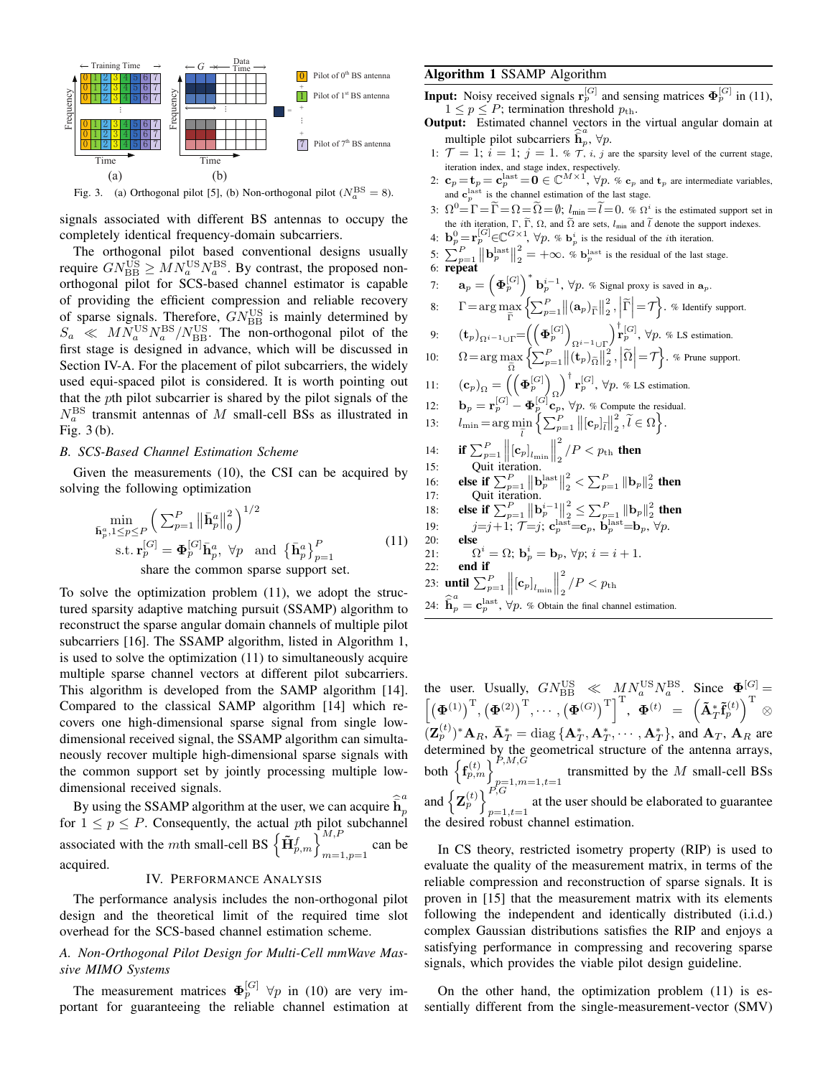

Fig. 3. (a) Orthogonal pilot [5], (b) Non-orthogonal pilot ( $N_a^{\rm BS} = 8$ ).

signals associated with different BS antennas to occupy the completely identical frequency-domain subcarriers.

The orthogonal pilot based conventional designs usually require  $GN_{\text{BB}}^{\text{US}} \geq MN_{a}^{\text{US}}N_{a}^{\text{BS}}$ . By contrast, the proposed nonorthogonal pilot for SCS-based channel estimator is capable of providing the efficient compression and reliable recovery of sparse signals. Therefore,  $GN_{\text{BB}}^{\text{US}}$  is mainly determined by  $S_a \ll M N_a^{\text{US}} N_B^{\text{BS}}/N_{\text{BB}}^{\text{US}}$ . The non-orthogonal pilot of the first stage is designed in advance, which will be discussed in Section IV-A. For the placement of pilot subcarriers, the widely used equi-spaced pilot is considered. It is worth pointing out that the pth pilot subcarrier is shared by the pilot signals of the  $N_a^{\text{BS}}$  transmit antennas of M small-cell BSs as illustrated in Fig. 3 (b).

## *B. SCS-Based Channel Estimation Scheme*

Given the measurements (10), the CSI can be acquired by solving the following optimization

$$
\min_{\bar{\mathbf{h}}_p^a, 1 \le p \le P} \left( \sum_{p=1}^P \left\| \bar{\mathbf{h}}_p^a \right\|_0^2 \right)^{1/2}
$$
\n
$$
\text{s.t. } \mathbf{r}_p^{[G]} = \mathbf{\Phi}_p^{[G]} \bar{\mathbf{h}}_p^a, \forall p \text{ and } \left\{ \bar{\mathbf{h}}_p^a \right\}_{p=1}^P \tag{11}
$$
\n
$$
\text{share the common sparse support set.}
$$

To solve the optimization problem (11), we adopt the structured sparsity adaptive matching pursuit (SSAMP) algorithm to reconstruct the sparse angular domain channels of multiple pilot subcarriers [16]. The SSAMP algorithm, listed in Algorithm 1, is used to solve the optimization (11) to simultaneously acquire multiple sparse channel vectors at different pilot subcarriers. This algorithm is developed from the SAMP algorithm [14]. Compared to the classical SAMP algorithm [14] which recovers one high-dimensional sparse signal from single lowdimensional received signal, the SSAMP algorithm can simultaneously recover multiple high-dimensional sparse signals with the common support set by jointly processing multiple lowdimensional received signals.

By using the SSAMP algorithm at the user, we can acquire  $\hat{\overline{h}}_p^a$ by using the SSAMI algorithm at the user, we can acquire  $\mathbf{h}_p$  for  $1 \leq p \leq P$ . Consequently, the actual *pth* pilot subchannel associated with the *mth* small-cell BS  $\left\{ \tilde{\mathbf{H}}_{p,m}^{f} \right\}_{m=1,p=1}^{M,P}$  can be acquired.

## IV. PERFORMANCE ANALYSIS

The performance analysis includes the non-orthogonal pilot design and the theoretical limit of the required time slot overhead for the SCS-based channel estimation scheme.

# *A. Non-Orthogonal Pilot Design for Multi-Cell mmWave Massive MIMO Systems*

The measurement matrices  $\Phi_p^{[G]}$   $\forall p$  in (10) are very important for guaranteeing the reliable channel estimation at

# Algorithm 1 SSAMP Algorithm

**Input:** Noisy received signals  $\mathbf{r}_p^{[G]}$  and sensing matrices  $\mathbf{\Phi}_p^{[G]}$  in (11),  $1 \leq p \leq P$ ; termination threshold  $p_{\text{th}}$ .

- Output: Estimated channel vectors in the virtual angular domain at multiple pilot subcarriers **h** ¯  $_p^a$ ,  $\forall p$ .
- 1:  $\mathcal{T} = 1$ ;  $i = 1$ ;  $j = 1$ . %  $\mathcal{T}$ , i, j are the sparsity level of the current stage,
- and  $\mathbf{c}_p^{\text{last}}$  is the channel estimation of the last stage.
- iteration index, and stage index, respectively.<br>
2:  $\mathbf{c}_p = \mathbf{t}_p = \mathbf{c}_p^{\text{last}} = \mathbf{0} \in \mathbb{C}^{M \times 1}$ ,  $\forall p$ .  $\% \mathbf{c}_p$  and  $\mathbf{t}_p$  are intermediate variables,<br>
and  $\mathbf{c}_p^{\text{last}}$  is the channel estimation of the 3:  $\Omega^0 = \Gamma = \widetilde{\Gamma} = \Omega$ <br>the *i*th iteration  $\Gamma$ the *i*th iteration, Γ, Γ, Ω, and Ω are sets,  $l_{\text{min}}$  and  $l$  denote the support indexes.<br>4: **b**<sup>0</sup><sub>*p*</sub> = **r**<sub>*p*</sub><sup>Gl</sup><sub>i</sub> ∈ <del>∈<sup>G</sup></del>×<sup>1</sup>, ∀*p*. % **b**<sup>*i*</sup><sub>*p*</sub> is the residual of the *i*th iteration. 3:  $\Omega^0 =$ <br>the *i*<br>4:  $\mathbf{b}_p^0 =$ <br>5:  $\sum_{p}^P$  $\bigcup_{\sub{C}} G \times 1$
- 
- $\frac{P}{p-1}$   $\left\|\mathbf{b}_p^{\text{last}}\right\|_2^2 = +\infty$ . %  $\mathbf{b}_p^{\text{last}}$  is the residual of the last stage. 6: repeat he residual
- 7: **a**<sub>p</sub> =  $(\Phi_p^{[G]})^* \mathbf{b}_p^{i-1}, \forall p.$  % Signal proxy is saved in **a**<sub>p</sub>.<br>8:  $\Gamma = \arg \max_{\overline{\Gamma}} \left\{ \sum_{p=1}^P ||(\mathbf{a}_p)_{\overline{\Gamma}}||_2^2, \left|\overline{\Gamma}\right| = \mathcal{T} \right\}.$  % Identify (**a**p)Γ- $\frac{1}{\Gamma}$  $\int_{0}^{\infty} \mathbf{b}_{n}^{i-1}$ ,  $\forall n$ , % Sign

8: 
$$
\Gamma = \arg \max_{\widetilde{\Gamma}} \left\{ \sum_{p=1}^{P} ||(\mathbf{a}_p)_{\widetilde{\Gamma}}||_2^2, \left|\widetilde{\Gamma}\right| = \mathcal{T} \right\}.
$$
 % Identify support.

6. 
$$
1 - \arg \max_{\overline{\Gamma}} \{Z_{p=1} | (\alpha p)_{\Gamma} ||_2, |\overline{\Gamma}| = 1 \}
$$
 (6)  $\lim_{\Gamma \to 0} \{ (\mathbf{t}_p)_{\Omega^{i-1} \cup \Gamma} = ((\Phi_p^{[G]})_{\Omega^{i-1} \cup \Gamma})^{\dagger} \mathbf{t}_p^{[G]}, \forall p. \%$  LS estimation.  
\n7.  $\Omega = \arg \max_{\overline{\Omega}} \{ \sum_{p=1}^P ||(\mathbf{t}_p)_{\overline{\Omega}}||_2^2, |\overline{\Omega}| = \mathcal{T} \}$ .  $\%$  Prune support.

11:  $(\mathbf{c}_p)_{\Omega} = \left( \left( \Phi_p^{[G]} \right)_{\Omega} \right)^{\top} \mathbf{r}_p^{[G]}, \forall p. \text{ % } \text{LS estimation.}$  $\begin{pmatrix} [G] \ [G] \ [G] \mathbf{c}_p, \ \forall p \end{pmatrix}$ ,  $\forall p \ll \mathbf{c}_p$ <br> $\left\{ \sum_{p=1}^P \left\| [\mathbf{c}_p] \right\|^2 \right\}$  $\forall p.$  % LS estin<br>
ompute the res<br>  $\left\|\frac{2}{2}, \widetilde{l} \in \Omega\right\}$ 

11. 
$$
(\mathbf{c}_p)_\Omega - (\mathbf{c}_p)_\Omega
$$
 1 p ,  $\forall p$ . %  $\triangle$  estimation  
\n12.  $\mathbf{b}_p = \mathbf{r}_p^{[G]} - \mathbf{\Phi}_p^{[G]} \mathbf{c}_p$ ,  $\forall p$ . % Compute the residual.  
\n13.  $l_{\min} = \arg \min_{\bar{l}} \left\{ \sum_{p=1}^P ||[\mathbf{c}_p]_{\bar{l}}||_2^2, \bar{l} \in \Omega \right\}.$ 

12: 
$$
\mathbf{b}_p = \mathbf{r}_p^{[G]} - \mathbf{\Phi}_p^{[G]} \mathbf{c}_p, \forall p. \mathcal{C}
$$
 Compute the res\n13:  $l_{\min} = \arg \min_{\bar{l}} \left\{ \sum_{p=1}^P \left\| [\mathbf{c}_p]_{\bar{l}} \right\|_2^2, \bar{l} \in \Omega \right\}$ \n14:  $\mathbf{if} \sum_{p=1}^P \left\| [\mathbf{c}_p]_{l_{\min}} \right\|_2^2 / P < p_{\text{th}}$  then\n15:  $\text{Quit iteration.}$ \n16:  $\text{else if } \sum_{p=1}^P \left\| \mathbf{b}_p^{\text{last}} \right\|_2^2 < \sum_{p=1}^P \left\| \mathbf{b}_p \right\|_2^2 \mathbf{if}$ 

15: Quit iteration. p=1 **b**last p 2 <sup>p</sup>=1 **b**p<sup>2</sup> <sup>2</sup> then 17: Quit iteration. 18: else if <sup>P</sup> 2 ≤ P

3: else if 
$$
\sum_{p=1}^{P} ||\mathbf{b}_{p}^{i-1}||_{2}^{2} \le \sum_{p=1}^{P} ||\mathbf{b}_{p}||_{2}^{2}
$$
 then

19: 
$$
j=j+1
$$
;  $\mathcal{T}=j$ ;  $\mathbf{c}_p^{\text{last}}=\mathbf{c}_p$ ,  $\dot{\mathbf{b}}_p^{\text{last}}=\mathbf{b}_p$ ,  $\forall p$ .  
20: **else**

20: else  
\n21: 
$$
\Omega^i = \Omega
$$
;  $\mathbf{b}_p^i = \mathbf{b}_p$ ,  $\forall p$ ;  $i = i + 1$ .

$$
22: \qquad \text{en}
$$

d if

20: else  
\n21: 
$$
\Omega^i = \Omega
$$
;  $\mathbf{b}_p^i = \mathbf{b}_p$ ,  $\forall p$ ;  $i = i$   
\n22: end if  
\n23: until  $\sum_{p=1}^P ||[\mathbf{c}_p]_{l_{\min}}||_2^2 / P < p_{\text{th}}$ 

24: 
$$
\hat{\overline{\mathbf{h}}}_p^a = \mathbf{c}_p^{\text{last}}, \forall p. \%
$$
 Obtain the final channel estimation.

 $\left[ \left( \boldsymbol{\Phi}^{(1)} \right)^{\mathrm{T}}, \left( \boldsymbol{\Phi}^{(2)} \right)^{\mathrm{T}}, \cdots, \left( \boldsymbol{\Phi}^{(G)} \right)^{\mathrm{T}} \right]^{ \mathrm{T}}, \ \boldsymbol{\Phi}^{(t)} \ = \ \left( \tilde{\mathbf{A}}_{T}^{\ast} \tilde{\mathbf{f}}_{p}^{(t)} \right)^{\mathrm{T}} \otimes \mathbb{R}$  $(\mathbf{Z}_{p}^{(t)})^* \mathbf{A}_R$ ,  $\mathbf{\bar{A}}_T^* = \text{diag} \{\mathbf{A}_T^*, \mathbf{A}_T^*, \cdots, \mathbf{A}_T^*\}$ , and  $\mathbf{A}_T$ ,  $\mathbf{A}_R$  are determined by the geometrical structure of the antenna arrays, both  $\left\{ \mathbf{f}_{p,m}^{(t)} \right\}_{p=1,m=1,t=1}^{P,M,G}$ <br>and  $\left\{ \mathbf{Z}_{p}^{(t)} \right\}_{t}^{P,G}$  at the transmitted by the M small-cell BSs  $p=1,t=1$ at the user should be elaborated to guarantee the desired robust channel estimation.

In CS theory, restricted isometry property (RIP) is used to evaluate the quality of the measurement matrix, in terms of the reliable compression and reconstruction of sparse signals. It is proven in [15] that the measurement matrix with its elements following the independent and identically distributed  $(i.i.d.)$ complex Gaussian distributions satisfies the RIP and enjoys a satisfying performance in compressing and recovering sparse signals, which provides the viable pilot design guideline.

On the other hand, the optimization problem (11) is essentially different from the single-measurement-vector (SMV)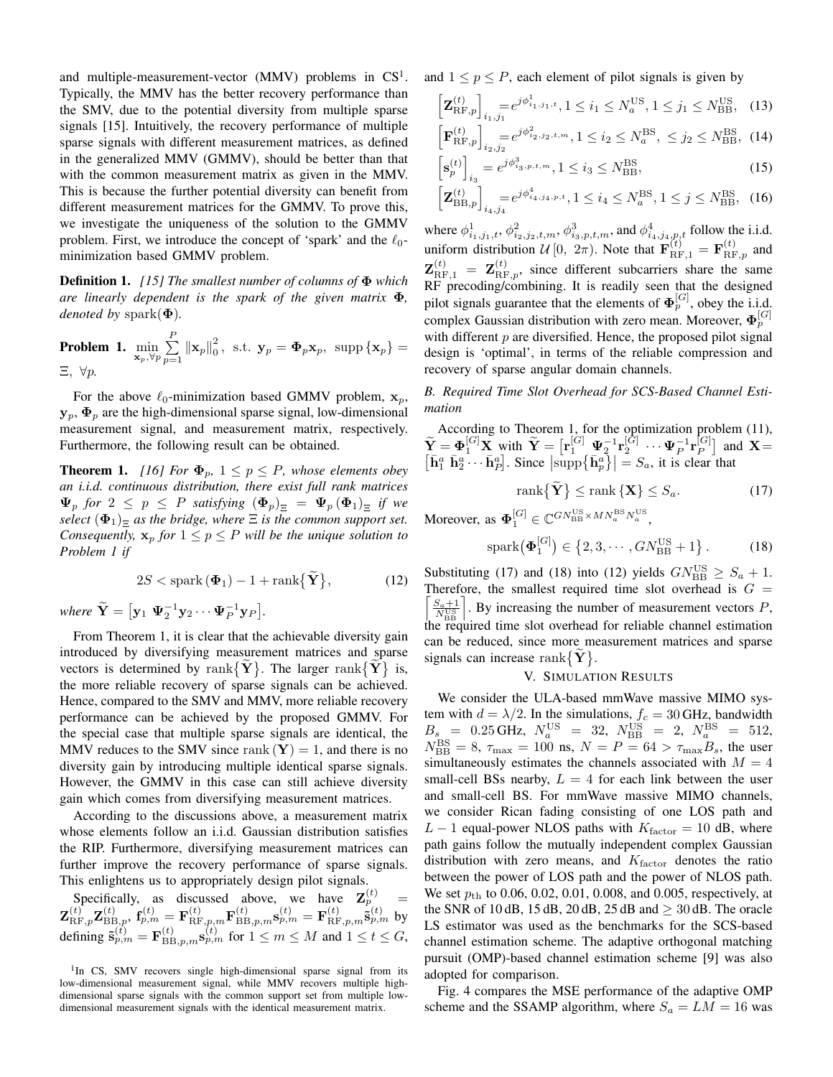and multiple-measurement-vector  $(MMV)$  problems in  $CS<sup>1</sup>$ . Typically, the MMV has the better recovery performance than the SMV, due to the potential diversity from multiple sparse signals [15]. Intuitively, the recovery performance of multiple sparse signals with different measurement matrices, as defined in the generalized MMV (GMMV), should be better than that with the common measurement matrix as given in the MMV. This is because the further potential diversity can benefit from different measurement matrices for the GMMV. To prove this, we investigate the uniqueness of the solution to the GMMV problem. First, we introduce the concept of 'spark' and the  $\ell_0$ minimization based GMMV problem.

Definition 1. *[15] The smallest number of columns of* **Φ** *which are linearly dependent is the spark of the given matrix* **Φ***, denoted by* spark(**Φ**)*.*

Problem 1. min **x***p*,∀p  $\sum_{i=1}^{P}$  $\sum_{p=1}^{\infty} \left\| \mathbf{x}_p \right\|_0^2, \text{ s.t. } \mathbf{y}_p = \mathbf{\Phi}_p \mathbf{x}_p, \text{ supp }\{\mathbf{x}_p\} =$ Ξ, ∀p*.*

For the above  $\ell_0$ -minimization based GMMV problem,  $\mathbf{x}_p$ ,  $\mathbf{y}_p$ ,  $\mathbf{\Phi}_p$  are the high-dimensional sparse signal, low-dimensional measurement signal, and measurement matrix, respectively. Furthermore, the following result can be obtained.

**Theorem 1.** *[16] For*  $\Phi_p$ ,  $1 \leq p \leq P$ *, whose elements obey an i.i.d. continuous distribution, there exist full rank matrices*  $\Psi_p$  *for*  $2 \leq p \leq P$  *satisfying*  $(\Phi_p)_{\Xi} = \Psi_p(\Phi_1)_{\Xi}$  *if we select*  $(\Phi_1)$ <sub> $\Xi$ </sub> *as the bridge, where*  $\Xi$  *is the common support set. Consequently,*  $\mathbf{x}_p$  *for*  $1 \leq p \leq P$  *will be the unique solution to Problem 1 if*

$$
2S < \text{spark}\left(\mathbf{\Phi}_1\right) - 1 + \text{rank}\left\{\widetilde{\mathbf{Y}}\right\},\tag{12}
$$

 $where \ \widetilde{\mathbf{Y}} = [\mathbf{y}_1 \ \mathbf{\Psi}_2^{-1} \mathbf{y}_2 \cdots \mathbf{\Psi}_P^{-1} \mathbf{y}_P].$ 

From Theorem 1, it is clear that the achievable diversity gain introduced by diversifying measurement matrices and sparse vectors is determined by  $\operatorname{rank}\{\widetilde{\mathbf{Y}}\}$ . The larger  $\operatorname{rank}\{\widetilde{\mathbf{Y}}\}$  is, the more reliable recovery of sparse signals can be achieved. Hence, compared to the SMV and MMV, more reliable recovery performance can be achieved by the proposed GMMV. For the special case that multiple sparse signals are identical, the MMV reduces to the SMV since rank  $(Y)=1$ , and there is no diversity gain by introducing multiple identical sparse signals. However, the GMMV in this case can still achieve diversity gain which comes from diversifying measurement matrices.

According to the discussions above, a measurement matrix whose elements follow an i.i.d. Gaussian distribution satisfies the RIP. Furthermore, diversifying measurement matrices can further improve the recovery performance of sparse signals. This enlightens us to appropriately design pilot signals.

Specifically, as discussed above, we have  $\mathbf{Z}_p^{(t)}$  =  $\mathbf{Z}_{{\rm RF},p}^{(t)}\mathbf{Z}_{{\rm BB},p}^{(t)}, \ \mathbf{f}_{p,m}^{(t)} = \mathbf{F}_{{\rm RF},p,m}^{(t)}\mathbf{F}_{{\rm BB},p,m}^{(t)}\mathbf{s}_{p,m}^{(t)} = \mathbf{F}_{{\rm RF},p,m}^{(t)}\tilde{\mathbf{s}}_{p,m}^{(t)}$  by defining  $\tilde{\mathbf{s}}_{p,m}^{(t)} = \mathbf{F}_{\text{BB},p,m}^{(t)} \mathbf{s}_{p,m}^{(t)}$  for  $1 \le m \le M$  and  $1 \le t \le G$ , and  $1 \leq p \leq P$ , each element of pilot signals is given by

$$
\left[\mathbf{Z}_{\text{RF},p}^{(t)}\right]_{i_1,j_1} = e^{j\phi_{i_1,j_1,t}^1}, 1 \le i_1 \le N_a^{\text{US}}, 1 \le j_1 \le N_{\text{BB}}^{\text{US}}, \quad (13)
$$

$$
\left[\mathbf{F}_{\text{RF},p}^{(t)}\right]_{i_2,j_2} = e^{j\phi_{i_2,j_2,t,m}^2}, 1 \le i_2 \le N_a^{\text{BS}}, \le j_2 \le N_{\text{BB}}^{\text{BS}}, (14)
$$

$$
\left[\mathbf{s}_p^{(t)}\right]_{i_3} = e^{j\phi_{i_3,p,t,m}^3}, 1 \le i_3 \le N_{\text{BB}}^{\text{BS}},\tag{15}
$$

$$
\left[\mathbf{Z}_{\text{BB},p}^{(t)}\right]_{i_4,j_4} = e^{j\phi_{i_4,j_4,p,t}^4}, 1 \le i_4 \le N_a^{\text{BS}}, 1 \le j \le N_{\text{BB}}^{\text{BS}}, (16)
$$

where  $\phi_{i_1,j_1,t}^1, \phi_{i_2,j_2,t,m}^2, \phi_{i_3,p,t,m}^3$ , and  $\phi_{i_4,j_4,p,t}^4$  follow the i.i.d. uniform distribution  $\mathcal{U}\left[0, 2\pi\right)$ . Note that  $\mathbf{F}_{\text{RF},1}^{(t)} = \mathbf{F}_{\text{RF},p}^{(t)}$  and  $\mathbf{Z}_{\text{RF},1}^{(t)} = \mathbf{Z}_{\text{RF},p}^{(t)}$ , since different subcarriers share the same RF precoding/combining. It is readily seen that the designed pilot signals guarantee that the elements of  $\Phi_p^{[G]}$ , obey the i.i.d. complex Gaussian distribution with zero mean. Moreover,  $\Phi_p^{[G]}$ with different  $p$  are diversified. Hence, the proposed pilot signal design is 'optimal', in terms of the reliable compression and recovery of sparse angular domain channels.

*B. Required Time Slot Overhead for SCS-Based Channel Estimation*

According to Theorem 1, for the optimization problem (11),  $\widetilde{\mathbf{Y}} = \mathbf{\Phi}_1^{[G]} \mathbf{X}$  with  $\widetilde{\mathbf{Y}} = [\mathbf{r}_1^{[G]} \ \ \mathbf{\Psi}_2^{-1} \mathbf{r}_2^{[G]} \ \ \cdots \ \mathbf{\Psi}_P^{-1} \mathbf{r}_P^{[G]}$  $\widetilde{\mathbf{Y}} = \mathbf{\Phi}_1^{[G]} \mathbf{X}$  with  $\widetilde{\mathbf{Y}} = [\mathbf{r}_1^{[G]} \ \Psi_2^{-1} \mathbf{r}_2^{[G]} \ \cdots \Psi_P^{-1} \mathbf{r}_P^{[G]}]$  and  $\mathbf{X} = [\bar{\mathbf{h}}_1^a \ \bar{\mathbf{h}}_2^a \cdots \bar{\mathbf{h}}_n^a]$ . Since  $|\text{sum of } \bar{\mathbf{h}}_1^a| = S_\circ$ , it is clear that  $\bar{\mathbf{h}}_1^a$   $\bar{\mathbf{h}}_2^a \cdots \bar{\mathbf{h}}_p^a$ . Since  $|\text{supp}\{\bar{\mathbf{h}}_p^a\}| = S_a$ , it is clear that

$$
rank\{\widetilde{\mathbf{Y}}\} \le rank\{\mathbf{X}\} \le S_a.
$$
 (17)

Moreover, as  $\mathbf{\Phi}_1^{[G]} \in \mathbb{C}^{GN_{\rm BB}^{\rm US} \times MN_a^{\rm BS}N_a^{\rm US}},$ 

$$
\text{spark}\big(\boldsymbol{\Phi}_1^{[G]}\big) \in \left\{2, 3, \cdots, GN_{\text{BB}}^{\text{US}} + 1\right\}. \tag{18}
$$

Substituting (17) and (18) into (12) yields  $GN_{\rm BB}^{\rm US} \geq S_a + 1$ . Therefore, the smallest required time slot overhead is  $G = \begin{bmatrix} S_{\alpha}+1 \end{bmatrix}$ . By increasing the number of measurement vectors  $D$  $\frac{S_a+1}{N_{\text{BB}}^{US}}$ . By increasing the number of measurement vectors P, the required time slot overhead for reliable channel estimation can be reduced, since more measurement matrices and sparse signals can increase rank $\{\tilde{\mathbf{Y}}\}$ .

# V. SIMULATION RESULTS

We consider the ULA-based mmWave massive MIMO system with  $d = \lambda/2$ . In the simulations,  $f_c = 30$  GHz, bandwidth  $B_s = 0.25 \text{ GHz}, N_a^{\text{US}} = 32, N_{\text{BB}}^{\text{US}} = 2, N_a^{\text{BS}} = 512,$ <br>  $N_{\text{BB}}^{\text{BS}} = 8, \tau_{\text{max}} = 100 \text{ ns}, N = P = 64 > \tau_{\text{max}} B_s$ , the user simultaneously estimates the channels associated with  $M = 4$ small-cell BSs nearby,  $L = 4$  for each link between the user and small-cell BS. For mmWave massive MIMO channels, we consider Rican fading consisting of one LOS path and  $L - 1$  equal-power NLOS paths with  $K_{\text{factor}} = 10$  dB, where path gains follow the mutually independent complex Gaussian distribution with zero means, and  $K_{\text{factor}}$  denotes the ratio between the power of LOS path and the power of NLOS path. We set  $p_{\text{th}}$  to 0.06, 0.02, 0.01, 0.008, and 0.005, respectively, at the SNR of 10 dB, 15 dB, 20 dB, 25 dB and  $\geq 30$  dB. The oracle LS estimator was used as the benchmarks for the SCS-based channel estimation scheme. The adaptive orthogonal matching pursuit (OMP)-based channel estimation scheme [9] was also adopted for comparison.

Fig. 4 compares the MSE performance of the adaptive OMP scheme and the SSAMP algorithm, where  $S_a = LM = 16$  was

<sup>&</sup>lt;sup>1</sup>In CS, SMV recovers single high-dimensional sparse signal from its low-dimensional measurement signal, while MMV recovers multiple highdimensional sparse signals with the common support set from multiple lowdimensional measurement signals with the identical measurement matrix.